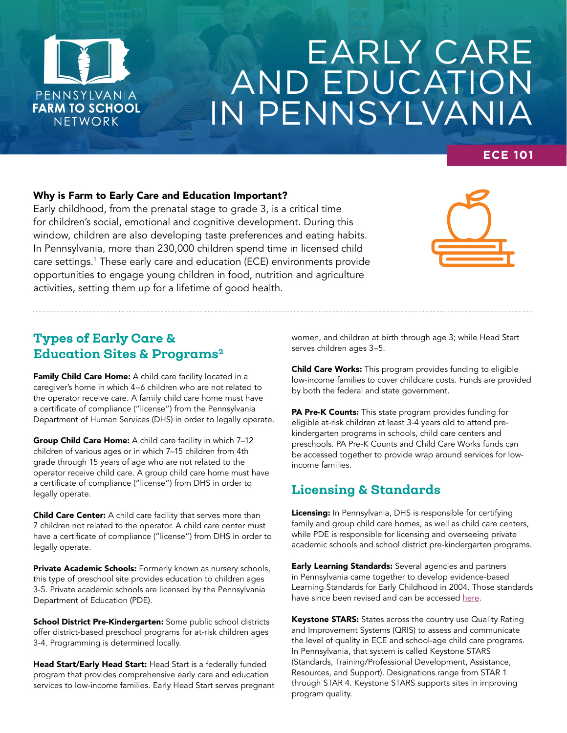

# EARLY CARE AND EDUCATION IN PENNSYLVANIA

## **ECE 101**

#### Why is Farm to Early Care and Education Important?

Early childhood, from the prenatal stage to grade 3, is a critical time for children's social, emotional and cognitive development. During this window, children are also developing taste preferences and eating habits. In Pennsylvania, more than 230,000 children spend time in licensed child care settings.1 These early care and education (ECE) environments provide opportunities to engage young children in food, nutrition and agriculture activities, setting them up for a lifetime of good health.



## Types of Early Care & Education Sites & Programs<sup>2</sup>

Family Child Care Home: A child care facility located in a caregiver's home in which 4–6 children who are not related to the operator receive care. A family child care home must have a certificate of compliance ("license") from the Pennsylvania Department of Human Services (DHS) in order to legally operate.

Group Child Care Home: A child care facility in which 7-12 children of various ages or in which 7–15 children from 4th grade through 15 years of age who are not related to the operator receive child care. A group child care home must have a certificate of compliance ("license") from DHS in order to legally operate.

Child Care Center: A child care facility that serves more than 7 children not related to the operator. A child care center must have a certificate of compliance ("license") from DHS in order to legally operate.

Private Academic Schools: Formerly known as nursery schools, this type of preschool site provides education to children ages 3-5. Private academic schools are licensed by the Pennsylvania Department of Education (PDE).

School District Pre-Kindergarten: Some public school districts offer district-based preschool programs for at-risk children ages 3-4. Programming is determined locally.

Head Start/Early Head Start: Head Start is a federally funded program that provides comprehensive early care and education services to low-income families. Early Head Start serves pregnant women, and children at birth through age 3; while Head Start serves children ages 3–5.

Child Care Works: This program provides funding to eligible low-income families to cover childcare costs. Funds are provided by both the federal and state government.

PA Pre-K Counts: This state program provides funding for eligible at-risk children at least 3-4 years old to attend prekindergarten programs in schools, child care centers and preschools. PA Pre-K Counts and Child Care Works funds can be accessed together to provide wrap around services for lowincome families.

# Licensing & Standards

Licensing: In Pennsylvania, DHS is responsible for certifying family and group child care homes, as well as child care centers, while PDE is responsible for licensing and overseeing private academic schools and school district pre-kindergarten programs.

**Early Learning Standards:** Several agencies and partners in Pennsylvania came together to develop evidence-based Learning Standards for Early Childhood in 2004. Those standards have since been revised and can be accessed [here.](https://www.pakeys.org/pa-early-learning-initiatives/early-learning-standards/)

Keystone STARS: States across the country use Quality Rating and Improvement Systems (QRIS) to assess and communicate the level of quality in ECE and school-age child care programs. In Pennsylvania, that system is called Keystone STARS (Standards, Training/Professional Development, Assistance, Resources, and Support). Designations range from STAR 1 through STAR 4. Keystone STARS supports sites in improving program quality.